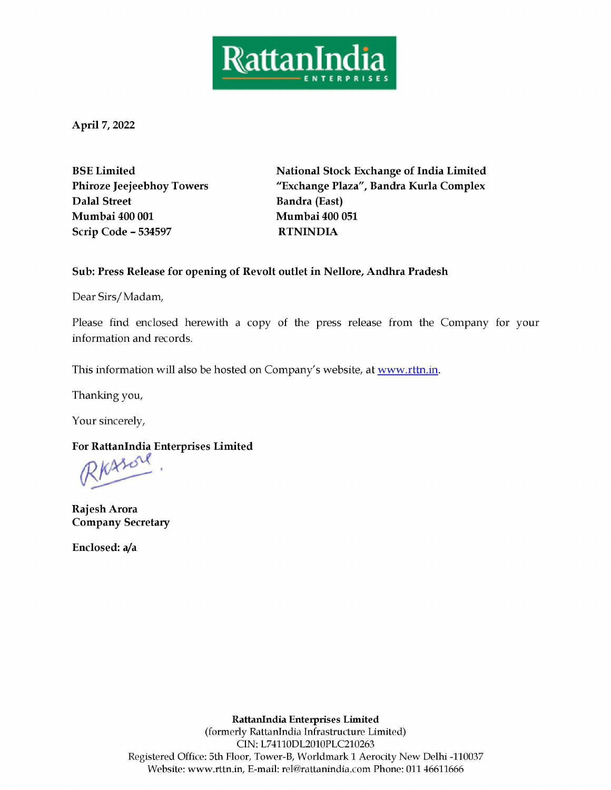

April 7, 2022

Dalal Street Bandra (East) Mumbai 400 001 Mumbai 400 051 Scrip Code - 534597 RTNINDIA

BSE Limited National Stock Exchange of India Limited Phiroze Jeejeebhoy Towers "Exchange Plaza", Bandra Kurla Complex

## Sub: Press Release for opening of Revolt outlet in Nellore, Andhra Pradesh

Dear Sirs/ Madam,

Please find enclosed herewith a copy of the press release from the Company for your information and records.

This information will also be hosted on Company's website, at www.rttn.in.

Thanking you,

Your sincerely,

For RattanIndia Enterprises Limited  $\mathbb{R}$  KALOU

Rajesh Arora Company Secretary

Enclosed: a/a

**RattanIndia Ent**<br>ormerly RattanIndia<br>CIN: L74110DL<br>5th Floor, Tower-B, W<br>rttn.in, E-mail: rel@r. RattanIndia Enterprises Limited (formerly RattanIndia Infrastructure Limited) CIN: L74110DL2010PLC210263 Registered Office: 5th Floor, Tower-B, Worldmark 1 Aerocity New Delhi -110037 Website: www.rttn.in, E-mail: rel@rattanindia.com Phone: 011 46611666